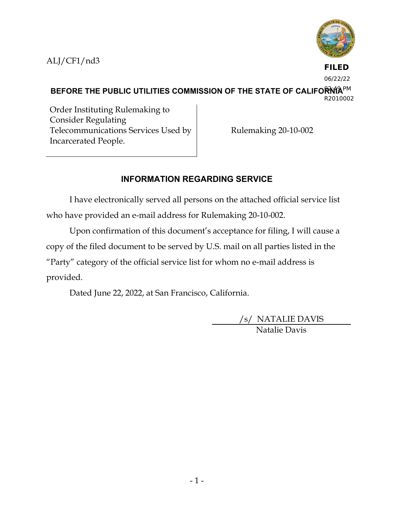ALJ/CF1/nd3



**FILED** 06/22/22

BEFORE THE PUBLIC UTILITIES COMMISSION OF THE STATE OF CALIFORMA<sup>PM</sup> R2010002

Order Instituting Rulemaking to Consider Regulating Telecommunications Services Used by Incarcerated People.

Rulemaking 20-10-002

# **INFORMATION REGARDING SERVICE**

I have electronically served all persons on the attached official service list who have provided an e-mail address for Rulemaking 20-10-002.

Upon confirmation of this document's acceptance for filing, I will cause a copy of the filed document to be served by U.S. mail on all parties listed in the "Party" category of the official service list for whom no e-mail address is provided.

Dated June 22, 2022, at San Francisco, California.

/s/ NATALIE DAVIS Natalie Davis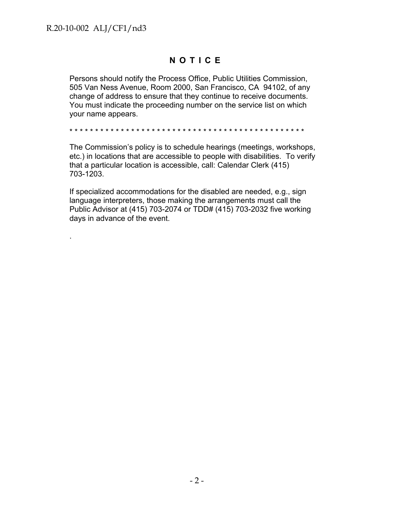.

## **NOTICE**

Persons should notify the Process Office, Public Utilities Commission, 505 Van Ness Avenue, Room 2000, San Francisco, CA 94102, of any change of address to ensure that they continue to receive documents. You must indicate the proceeding number on the service list on which your name appears.

\* \* \* \* \* \* \* \* \* \* \* \* \* \* \* \* \* \* \* \* \* \* \* \* \* \* \* \* \* \* \* \* \* \* \* \* \* \* \* \* \* \* \* \* \* \*

The Commission's policy is to schedule hearings (meetings, workshops, etc.) in locations that are accessible to people with disabilities. To verify that a particular location is accessible, call: Calendar Clerk (415) 703-1203.

If specialized accommodations for the disabled are needed, e.g., sign language interpreters, those making the arrangements must call the Public Advisor at (415) 703-2074 or TDD# (415) 703-2032 five working days in advance of the event.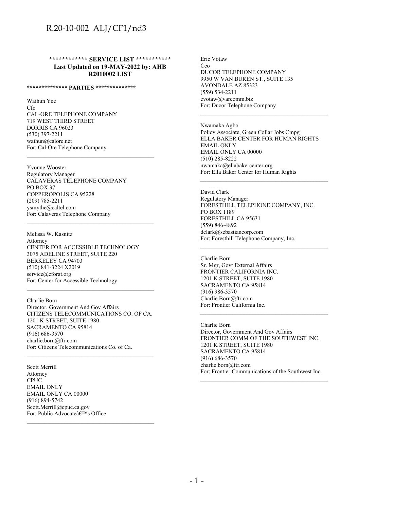**\*\*\*\*\*\*\*\*\*\*\*\* SERVICE LIST \*\*\*\*\*\*\*\*\*\*\* Last Updated on 19-MAY-2022 by: AHB R2010002 LIST**

#### **\*\*\*\*\*\*\*\*\*\*\*\*\*\* PARTIES \*\*\*\*\*\*\*\*\*\*\*\*\*\***

Waihun Yee Cfo CAL-ORE TELEPHONE COMPANY 719 WEST THIRD STREET DORRIS CA 96023 (530) 397-2211 waihun@calore.net For: Cal-Ore Telephone Company

Yvonne Wooster Regulatory Manager CALAVERAS TELEPHONE COMPANY PO BOX 37 COPPEROPOLIS CA 95228 (209) 785-2211 ysmythe@caltel.com For: Calaveras Telephone Company

\_\_\_\_\_\_\_\_\_\_\_\_\_\_\_\_\_\_\_\_\_\_\_\_\_\_\_\_\_\_\_\_\_\_\_\_\_\_\_\_\_\_\_\_

\_\_\_\_\_\_\_\_\_\_\_\_\_\_\_\_\_\_\_\_\_\_\_\_\_\_\_\_\_\_\_\_\_\_\_\_\_\_\_\_\_\_\_\_

Melissa W. Kasnitz Attorney CENTER FOR ACCESSIBLE TECHNOLOGY 3075 ADELINE STREET, SUITE 220 BERKELEY CA 94703 (510) 841-3224 X2019 service@cforat.org For: Center for Accessible Technology

Charlie Born Director, Government And Gov Affairs CITIZENS TELECOMMUNICATIONS CO. OF CA. 1201 K STREET, SUITE 1980 SACRAMENTO CA 95814 (916) 686-3570 charlie.born@ftr.com For: Citizens Telecommunications Co. of Ca. \_\_\_\_\_\_\_\_\_\_\_\_\_\_\_\_\_\_\_\_\_\_\_\_\_\_\_\_\_\_\_\_\_\_\_\_\_\_\_\_\_\_\_\_

\_\_\_\_\_\_\_\_\_\_\_\_\_\_\_\_\_\_\_\_\_\_\_\_\_\_\_\_\_\_\_\_\_\_\_\_\_\_\_\_\_\_\_\_

\_\_\_\_\_\_\_\_\_\_\_\_\_\_\_\_\_\_\_\_\_\_\_\_\_\_\_\_\_\_\_\_\_\_\_\_\_\_\_\_\_\_\_\_

Scott Merrill Attorney **CPUC** EMAIL ONLY EMAIL ONLY CA 00000 (916) 894-5742 Scott.Merrill@cpuc.ca.gov For: Public Advocate $\hat{\mathbf{a}} \in \mathbb{R}^{\text{TM}}$ s Office Eric Votaw Ceo DUCOR TELEPHONE COMPANY 9950 W VAN BUREN ST., SUITE 135 AVONDALE AZ 85323 (559) 534-2211 evotaw@varcomm.biz For: Ducor Telephone Company

Nwamaka Agbo Policy Associate, Green Collar Jobs Cmpg ELLA BAKER CENTER FOR HUMAN RIGHTS EMAIL ONLY EMAIL ONLY CA 00000 (510) 285-8222 nwamaka@ellabakercenter.org For: Ella Baker Center for Human Rights

\_\_\_\_\_\_\_\_\_\_\_\_\_\_\_\_\_\_\_\_\_\_\_\_\_\_\_\_\_\_\_\_\_\_\_\_\_\_\_\_\_\_\_\_

\_\_\_\_\_\_\_\_\_\_\_\_\_\_\_\_\_\_\_\_\_\_\_\_\_\_\_\_\_\_\_\_\_\_\_\_\_\_\_\_\_\_\_\_

\_\_\_\_\_\_\_\_\_\_\_\_\_\_\_\_\_\_\_\_\_\_\_\_\_\_\_\_\_\_\_\_\_\_\_\_\_\_\_\_\_\_\_\_

David Clark Regulatory Manager FORESTHILL TELEPHONE COMPANY, INC. PO BOX 1189 FORESTHILL CA 95631 (559) 846-4892 dclark@sebastiancorp.com For: Foresthill Telephone Company, Inc.

Charlie Born Sr. Mgr, Govt External Affairs FRONTIER CALIFORNIA INC. 1201 K STREET, SUITE 1980 SACRAMENTO CA 95814 (916) 986-3570 Charlie.Born@ftr.com For: Frontier California Inc.

Charlie Born Director, Government And Gov Affairs FRONTIER COMM OF THE SOUTHWEST INC. 1201 K STREET, SUITE 1980 SACRAMENTO CA 95814 (916) 686-3570 charlie.born@ftr.com For: Frontier Communications of the Southwest Inc.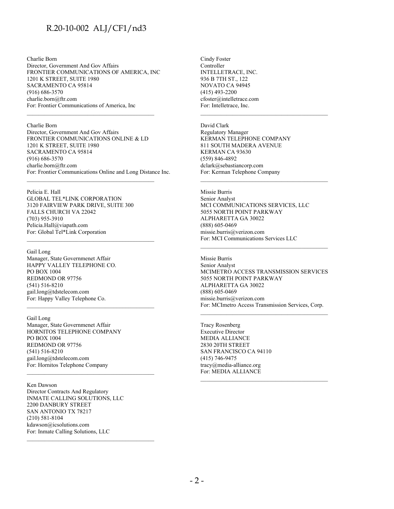Charlie Born Director, Government And Gov Affairs FRONTIER COMMUNICATIONS OF AMERICA, INC 1201 K STREET, SUITE 1980 SACRAMENTO CA 95814 (916) 686-3570 charlie.born@ftr.com For: Frontier Communications of America, Inc

\_\_\_\_\_\_\_\_\_\_\_\_\_\_\_\_\_\_\_\_\_\_\_\_\_\_\_\_\_\_\_\_\_\_\_\_\_\_\_\_\_\_\_\_

#### Charlie Born

Director, Government And Gov Affairs FRONTIER COMMUNICATIONS ONLINE & LD 1201 K STREET, SUITE 1980 SACRAMENTO CA 95814 (916) 686-3570 charlie.born@ftr.com For: Frontier Communications Online and Long Distance Inc.

\_\_\_\_\_\_\_\_\_\_\_\_\_\_\_\_\_\_\_\_\_\_\_\_\_\_\_\_\_\_\_\_\_\_\_\_\_\_\_\_\_\_\_\_

\_\_\_\_\_\_\_\_\_\_\_\_\_\_\_\_\_\_\_\_\_\_\_\_\_\_\_\_\_\_\_\_\_\_\_\_\_\_\_\_\_\_\_\_

Pelicia E. Hall GLOBAL TEL\*LINK CORPORATION 3120 FAIRVIEW PARK DRIVE, SUITE 300 FALLS CHURCH VA 22042 (703) 955-3910 Pelicia.Hall@viapath.com For: Global Tel\*Link Corporation

Gail Long Manager, State Governmenet Affair HAPPY VALLEY TELEPHONE CO. PO BOX 1004 REDMOND OR 97756 (541) 516-8210 gail.long@tdstelecom.com For: Happy Valley Telephone Co. \_\_\_\_\_\_\_\_\_\_\_\_\_\_\_\_\_\_\_\_\_\_\_\_\_\_\_\_\_\_\_\_\_\_\_\_\_\_\_\_\_\_\_\_

Gail Long Manager, State Governmenet Affair HORNITOS TELEPHONE COMPANY PO BOX 1004 REDMOND OR 97756 (541) 516-8210 gail.long@tdstelecom.com For: Hornitos Telephone Company \_\_\_\_\_\_\_\_\_\_\_\_\_\_\_\_\_\_\_\_\_\_\_\_\_\_\_\_\_\_\_\_\_\_\_\_\_\_\_\_\_\_\_\_

Ken Dawson

Director Contracts And Regulatory INMATE CALLING SOLUTIONS, LLC 2200 DANBURY STREET SAN ANTONIO TX 78217 (210) 581-8104 kdawson@icsolutions.com For: Inmate Calling Solutions, LLC \_\_\_\_\_\_\_\_\_\_\_\_\_\_\_\_\_\_\_\_\_\_\_\_\_\_\_\_\_\_\_\_\_\_\_\_\_\_\_\_\_\_\_\_ Cindy Foster Controller INTELLETRACE, INC. 936 B 7TH ST., 122 NOVATO CA 94945 (415) 493-2200 cfoster@intelletrace.com For: Intelletrace, Inc.

#### David Clark

Regulatory Manager KERMAN TELEPHONE COMPANY 811 SOUTH MADERA AVENUE KERMAN CA 93630 (559) 846-4892 dclark@sebastiancorp.com For: Kerman Telephone Company

\_\_\_\_\_\_\_\_\_\_\_\_\_\_\_\_\_\_\_\_\_\_\_\_\_\_\_\_\_\_\_\_\_\_\_\_\_\_\_\_\_\_\_\_

\_\_\_\_\_\_\_\_\_\_\_\_\_\_\_\_\_\_\_\_\_\_\_\_\_\_\_\_\_\_\_\_\_\_\_\_\_\_\_\_\_\_\_\_

Missie Burris Senior Analyst MCI COMMUNICATIONS SERVICES, LLC 5055 NORTH POINT PARKWAY ALPHARETTA GA 30022 (888) 605-0469 missie.burris@verizon.com For: MCI Communications Services LLC

Missie Burris Senior Analyst MCIMETRO ACCESS TRANSMISSION SERVICES 5055 NORTH POINT PARKWAY ALPHARETTA GA 30022 (888) 605-0469 missie.burris@verizon.com For: MCImetro Access Transmission Services, Corp.

\_\_\_\_\_\_\_\_\_\_\_\_\_\_\_\_\_\_\_\_\_\_\_\_\_\_\_\_\_\_\_\_\_\_\_\_\_\_\_\_\_\_\_\_

Tracy Rosenberg Executive Director MEDIA ALLIANCE 2830 20TH STREET SAN FRANCISCO CA 94110 (415) 746-9475 tracy@media-alliance.org For: MEDIA ALLIANCE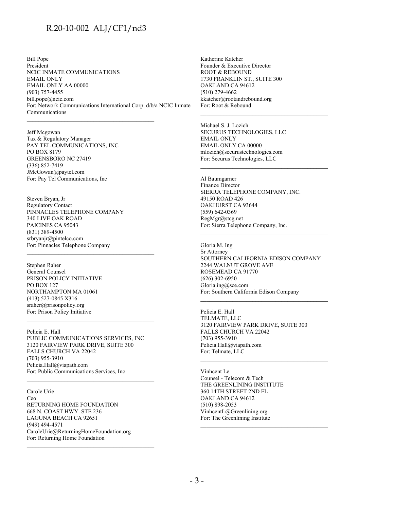Bill Pope President NCIC INMATE COMMUNICATIONS EMAIL ONLY EMAIL ONLY AA 00000 (903) 757-4455 bill.pope@ncic.com For: Network Communications International Corp. d/b/a NCIC Inmate Communications

Jeff Mcgowan Tax & Regulatory Manager PAY TEL COMMUNICATIONS, INC PO BOX 8179 GREENSBORO NC 27419 (336) 852-7419 JMcGowan@paytel.com For: Pay Tel Communications, Inc

Steven Bryan, Jr Regulatory Contact PINNACLES TELEPHONE COMPANY 340 LIVE OAK ROAD PAICINES CA 95043 (831) 389-4500 srbryanjr@pintelco.com For: Pinnacles Telephone Company

Stephen Raher General Counsel PRISON POLICY INITIATIVE PO BOX 127 NORTHAMPTON MA 01061 (413) 527-0845 X316 sraher@prisonpolicy.org For: Prison Policy Initiative

Pelicia E. Hall PUBLIC COMMUNICATIONS SERVICES, INC 3120 FAIRVIEW PARK DRIVE, SUITE 300 FALLS CHURCH VA 22042 (703) 955-3910 Pelicia.Hall@viapath.com For: Public Communications Services, Inc

Carole Urie Ceo RETURNING HOME FOUNDATION 668 N. COAST HWY. STE 236 LAGUNA BEACH CA 92651 (949) 494-4571 CaroleUrie@ReturningHomeFoundation.org For: Returning Home Foundation

Katherine Katcher Founder & Executive Director ROOT & REBOUND 1730 FRANKLIN ST., SUITE 300 OAKLAND CA 94612 (510) 279-4662 kkatcher@rootandrebound.org For: Root & Rebound

Michael S. J. Lozich SECURUS TECHNOLOGIES, LLC EMAIL ONLY EMAIL ONLY CA 00000 mlozich@securustechnologies.com For: Securus Technologies, LLC

\_\_\_\_\_\_\_\_\_\_\_\_\_\_\_\_\_\_\_\_\_\_\_\_\_\_\_\_\_\_\_\_\_\_\_\_\_\_\_\_\_\_\_\_

\_\_\_\_\_\_\_\_\_\_\_\_\_\_\_\_\_\_\_\_\_\_\_\_\_\_\_\_\_\_\_\_\_\_\_\_\_\_\_\_\_\_\_\_

Al Baumgarner Finance Director SIERRA TELEPHONE COMPANY, INC. 49150 ROAD 426 OAKHURST CA 93644 (559) 642-0369 RegMgr@stcg.net For: Sierra Telephone Company, Inc.

Gloria M. Ing Sr Attorney SOUTHERN CALIFORNIA EDISON COMPANY 2244 WALNUT GROVE AVE ROSEMEAD CA 91770 (626) 302-6950 Gloria.ing@sce.com For: Southern California Edison Company

\_\_\_\_\_\_\_\_\_\_\_\_\_\_\_\_\_\_\_\_\_\_\_\_\_\_\_\_\_\_\_\_\_\_\_\_\_\_\_\_\_\_\_\_

\_\_\_\_\_\_\_\_\_\_\_\_\_\_\_\_\_\_\_\_\_\_\_\_\_\_\_\_\_\_\_\_\_\_\_\_\_\_\_\_\_\_\_\_

\_\_\_\_\_\_\_\_\_\_\_\_\_\_\_\_\_\_\_\_\_\_\_\_\_\_\_\_\_\_\_\_\_\_\_\_\_\_\_\_\_\_\_\_

Pelicia E. Hall TELMATE, LLC 3120 FAIRVIEW PARK DRIVE, SUITE 300 FALLS CHURCH VA 22042 (703) 955-3910 Pelicia.Hall@viapath.com For: Telmate, LLC

Vinhcent Le Counsel - Telecom & Tech THE GREENLINING INSTITUTE 360 14TH STREET 2ND FL OAKLAND CA 94612 (510) 898-2053 VinhcentL@Greenlining.org For: The Greenlining Institute \_\_\_\_\_\_\_\_\_\_\_\_\_\_\_\_\_\_\_\_\_\_\_\_\_\_\_\_\_\_\_\_\_\_\_\_\_\_\_\_\_\_\_\_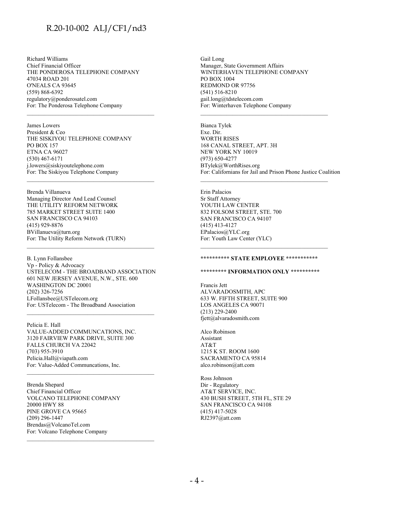Richard Williams Chief Financial Officer THE PONDEROSA TELEPHONE COMPANY 47034 ROAD 201 O'NEALS CA 93645 (559) 868-6392 regulatory@ponderosatel.com For: The Ponderosa Telephone Company \_\_\_\_\_\_\_\_\_\_\_\_\_\_\_\_\_\_\_\_\_\_\_\_\_\_\_\_\_\_\_\_\_\_\_\_\_\_\_\_\_\_\_\_

James Lowers President & Ceo THE SISKIYOU TELEPHONE COMPANY PO BOX 157 ETNA CA 96027 (530) 467-6171 j.lowers@siskiyoutelephone.com For: The Siskiyou Telephone Company \_\_\_\_\_\_\_\_\_\_\_\_\_\_\_\_\_\_\_\_\_\_\_\_\_\_\_\_\_\_\_\_\_\_\_\_\_\_\_\_\_\_\_\_

Brenda Villanueva Managing Director And Lead Counsel THE UTILITY REFORM NETWORK 785 MARKET STREET SUITE 1400 SAN FRANCISCO CA 94103 (415) 929-8876 BVillanueva@turn.org For: The Utility Reform Network (TURN)

B. Lynn Follansbee Vp - Policy & Advocacy USTELECOM - THE BROADBAND ASSOCIATION 601 NEW JERSEY AVENUE, N.W., STE. 600 WASHINGTON DC 20001 (202) 326-7256 LFollansbee@USTelecom.org For: USTelecom - The Broadband Association

\_\_\_\_\_\_\_\_\_\_\_\_\_\_\_\_\_\_\_\_\_\_\_\_\_\_\_\_\_\_\_\_\_\_\_\_\_\_\_\_\_\_\_\_

Pelicia E. Hall VALUE-ADDED COMMUNCATIONS, INC. 3120 FAIRVIEW PARK DRIVE, SUITE 300 FALLS CHURCH VA 22042 (703) 955-3910 Pelicia.Hall@viapath.com For: Value-Added Communcations, Inc.

\_\_\_\_\_\_\_\_\_\_\_\_\_\_\_\_\_\_\_\_\_\_\_\_\_\_\_\_\_\_\_\_\_\_\_\_\_\_\_\_\_\_\_\_

\_\_\_\_\_\_\_\_\_\_\_\_\_\_\_\_\_\_\_\_\_\_\_\_\_\_\_\_\_\_\_\_\_\_\_\_\_\_\_\_\_\_\_\_

Brenda Shepard Chief Financial Officer VOLCANO TELEPHONE COMPANY 20000 HWY 88 PINE GROVE CA 95665 (209) 296-1447 Brendas@VolcanoTel.com For: Volcano Telephone Company

Gail Long Manager, State Government Affairs WINTERHAVEN TELEPHONE COMPANY PO BOX 1004 REDMOND OR 97756 (541) 516-8210 gail.long@tdstelecom.com For: Winterhaven Telephone Company

Bianca Tylek Exe. Dir. WORTH RISES 168 CANAL STREET, APT. 3H NEW YORK NY 10019 (973) 650-4277 BTylek@WorthRises.org For: Californians for Jail and Prison Phone Justice Coalition

\_\_\_\_\_\_\_\_\_\_\_\_\_\_\_\_\_\_\_\_\_\_\_\_\_\_\_\_\_\_\_\_\_\_\_\_\_\_\_\_\_\_\_\_

\_\_\_\_\_\_\_\_\_\_\_\_\_\_\_\_\_\_\_\_\_\_\_\_\_\_\_\_\_\_\_\_\_\_\_\_\_\_\_\_\_\_\_\_

Erin Palacios Sr Staff Attorney YOUTH LAW CENTER 832 FOLSOM STREET, STE. 700 SAN FRANCISCO CA 94107 (415) 413-4127 EPalacios@YLC.org For: Youth Law Center (YLC)

#### **\*\*\*\*\*\*\*\*\*\* STATE EMPLOYEE \*\*\*\*\*\*\*\*\*\*\***

\_\_\_\_\_\_\_\_\_\_\_\_\_\_\_\_\_\_\_\_\_\_\_\_\_\_\_\_\_\_\_\_\_\_\_\_\_\_\_\_\_\_\_\_

#### **\*\*\*\*\*\*\*\*\* INFORMATION ONLY \*\*\*\*\*\*\*\*\*\***

Francis Jett ALVARADOSMITH, APC 633 W. FIFTH STREET, SUITE 900 LOS ANGELES CA 90071 (213) 229-2400 fjett@alvaradosmith.com

Alco Robinson Assistant AT&T 1215 K ST. ROOM 1600 SACRAMENTO CA 95814 alco.robinson@att.com

Ross Johnson Dir - Regulatory AT&T SERVICE, INC. 430 BUSH STREET, 5TH FL, STE 29 SAN FRANCISCO CA 94108 (415) 417-5028 RJ2397@att.com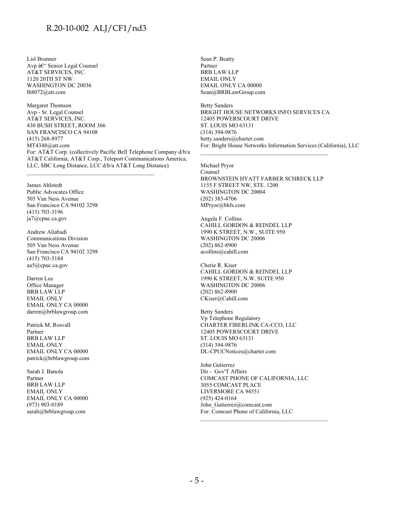Lisl Brunner Avp â $\varepsilon$ " Senior Legal Counsel AT&T SERVICES, INC. 1120 20TH ST NW WASHINGTON DC 20036 lb8072@att.com

Margaret Thomson Avp - Sr. Legal Counsel AT&T SERVICES, INC. 430 BUSH STREET, ROOM 366 SAN FRANCISCO CA 94108 (415) 268-8977 MT4348@att.com For: AT&T Corp. (collectively Pacific Bell Telephone Company d/b/a AT&T California, AT&T Corp., Teleport Communications America, LLC, SBC Long Distance, LCC d/b/a AT&T Long Distance)

\_\_\_\_\_\_\_\_\_\_\_\_\_\_\_\_\_\_\_\_\_\_\_\_\_\_\_\_\_\_\_\_\_\_\_\_\_\_\_\_\_\_\_\_

James Ahlstedt Public Advocates Office 505 Van Ness Avenue San Francisco CA 94102 3298 (415) 703-3196 ja7@cpuc.ca.gov

Andrew Aliabadi Communications Division 505 Van Ness Avenue San Francisco CA 94102 3298 (415) 703-5184 aa5@cpuc.ca.gov

Darren Lee Office Manager BRB LAW LLP EMAIL ONLY EMAIL ONLY CA 00000 darren@brblawgroup.com

Patrick M. Rosvall Partner BRB LAW LLP EMAIL ONLY EMAIL ONLY CA 00000 patrick@brblawgroup.com

Sarah J. Banola Partner BRB LAW LLP EMAIL ONLY EMAIL ONLY CA 00000 (973) 903-0189 sarah@brblawgroup.com

Sean P. Beatty Partner BRB LAW LLP EMAIL ONLY EMAIL ONLY CA 00000 Sean@BRBLawGroup.com

Betty Sanders BRIGHT HOUSE NETWORKS INFO SERVICES CA 12405 POWERSCOURT DRIVE ST. LOUIS MO 63131 (314) 394-9876 betty.sanders@charter.com For: Bright House Networks Information Services (California), LLC

Michael Pryor Counsel BROWNSTEIN HYATT FARBER SCHRECK LLP 1155 F STREET NW, STE. 1200 WASHINGTON DC 20004 (202) 383-4706 MPryor@bhfs.com

Angela F. Collins CAHILL GORDON & REINDEL LLP 1990 K STREET, N.W., SUITE 950 WASHINGTON DC 20006 (202) 862-8900 acollins@cahill.com

Cherie R. Kiser CAHILL GORDON & REINDEL LLP 1990 K STREET, N.W. SUITE 950 WASHINGTON DC 20006 (202) 862-8900 CKiser@Cahill.com

Betty Sanders Vp Telephone Regulatory CHARTER FIBERLINK CA-CCO, LLC 12405 POWERSCOURT DRIVE ST. LOUIS MO 63131 (314) 394-9876 DL-CPUCNotices@charter.com

John Gutierrez Dir - Gov'T Affairs COMCAST PHONE OF CALIFORNIA, LLC 3055 COMCAST PLACE LIVERMORE CA 94551 (925) 424-0164 John Gutierrez@comcast.com For: Comcast Phone of California, LLC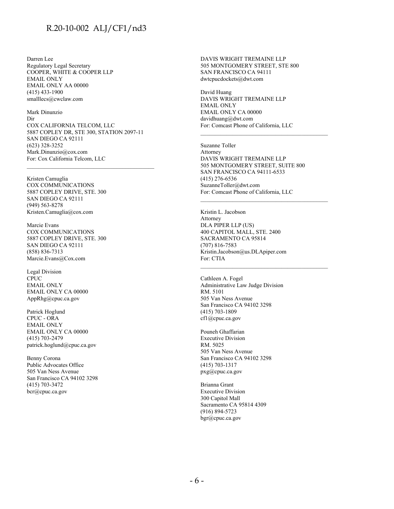Darren Lee Regulatory Legal Secretary COOPER, WHITE & COOPER LLP EMAIL ONLY EMAIL ONLY AA 00000 (415) 433-1900 smalllecs@cwclaw.com

Mark Dinunzio Dir COX CALIFORNIA TELCOM, LLC 5887 COPLEY DR, STE 300, STATION 2097-11 SAN DIEGO CA 92111 (623) 328-3252 Mark.Dinunzio@cox.com For: Cox California Telcom, LLC

\_\_\_\_\_\_\_\_\_\_\_\_\_\_\_\_\_\_\_\_\_\_\_\_\_\_\_\_\_\_\_\_\_\_\_\_\_\_\_\_\_\_\_\_

Kristen Camuglia COX COMMUNICATIONS 5887 COPLEY DRIVE, STE. 300 SAN DIEGO CA 92111 (949) 563-8278 Kristen.Camuglia@cox.com

Marcie Evans COX COMMUNICATIONS 5887 COPLEY DRIVE, STE. 300 SAN DIEGO CA 92111 (858) 836-7313 Marcie.Evans@Cox.com

Legal Division CPUC EMAIL ONLY EMAIL ONLY CA 00000 AppRhg@cpuc.ca.gov

Patrick Hoglund CPUC - ORA EMAIL ONLY EMAIL ONLY CA 00000 (415) 703-2479 patrick.hoglund@cpuc.ca.gov

Benny Corona Public Advocates Office 505 Van Ness Avenue San Francisco CA 94102 3298 (415) 703-3472 bcr@cpuc.ca.gov

DAVIS WRIGHT TREMAINE LLP 505 MONTGOMERY STREET, STE 800 SAN FRANCISCO CA 94111 dwtcpucdockets@dwt.com

David Huang DAVIS WRIGHT TREMAINE LLP EMAIL ONLY EMAIL ONLY CA 00000 davidhuang@dwt.com For: Comcast Phone of California, LLC

Suzanne Toller Attorney DAVIS WRIGHT TREMAINE LLP 505 MONTGOMERY STREET, SUITE 800 SAN FRANCISCO CA 94111-6533 (415) 276-6536 SuzanneToller@dwt.com For: Comcast Phone of California, LLC

\_\_\_\_\_\_\_\_\_\_\_\_\_\_\_\_\_\_\_\_\_\_\_\_\_\_\_\_\_\_\_\_\_\_\_\_\_\_\_\_\_\_\_\_

\_\_\_\_\_\_\_\_\_\_\_\_\_\_\_\_\_\_\_\_\_\_\_\_\_\_\_\_\_\_\_\_\_\_\_\_\_\_\_\_\_\_\_\_

Kristin L. Jacobson Attorney DLA PIPER LLP (US) 400 CAPITOL MALL, STE. 2400 SACRAMENTO CA 95814 (707) 816-7583 Kristin.Jacobson@us.DLApiper.com For: CTIA \_\_\_\_\_\_\_\_\_\_\_\_\_\_\_\_\_\_\_\_\_\_\_\_\_\_\_\_\_\_\_\_\_\_\_\_\_\_\_\_\_\_\_\_

Cathleen A. Fogel Administrative Law Judge Division RM. 5101 505 Van Ness Avenue San Francisco CA 94102 3298 (415) 703-1809 cf1@cpuc.ca.gov

Pouneh Ghaffarian Executive Division RM. 5025 505 Van Ness Avenue San Francisco CA 94102 3298 (415) 703-1317 pxg@cpuc.ca.gov

Brianna Grant Executive Division 300 Capitol Mall Sacramento CA 95814 4309 (916) 894-5723 bgr@cpuc.ca.gov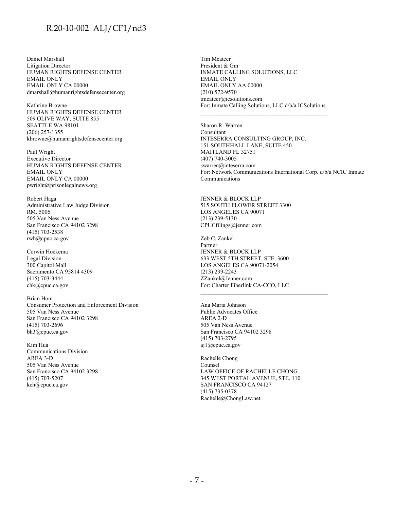Daniel Marshall Litigation Director HUMAN RIGHTS DEFENSE CENTER EMAIL ONLY EMAIL ONLY CA 00000 dmarshall@humanrightsdefensecenter.org

Kathrine Browne HUMAN RIGHTS DEFENSE CENTER 509 OLIVE WAY, SUITE 855 SEATTLE WA 98101 (206) 257-1355 kbrowne@humanrightsdefensecenter.org

Paul Wright Executive Director HUMAN RIGHTS DEFENSE CENTER EMAIL ONLY EMAIL ONLY CA 00000 pwright@prisonlegalnews.org

Robert Haga Administrative Law Judge Division RM. 5006 505 Van Ness Avenue San Francisco CA 94102 3298 (415) 703-2538 rwh@cpuc.ca.gov

Corwin Hockema Legal Division 300 Capitol Mall Sacramento CA 95814 4309 (415) 703-3444 chk@cpuc.ca.gov

Brian Hom Consumer Protection and Enforcement Division 505 Van Ness Avenue San Francisco CA 94102 3298 (415) 703-2696 bh3@cpuc.ca.gov

Kim Hua Communications Division AREA 3-D 505 Van Ness Avenue San Francisco CA 94102 3298 (415) 703-5207 kch@cpuc.ca.gov

Tim Mcateer President & Gm INMATE CALLING SOLUTIONS, LLC EMAIL ONLY EMAIL ONLY AA 00000 (210) 572-9570 tmcateer@icsolutions.com For: Inmate Calling Solutions, LLC d/b/a ICSolutions

\_\_\_\_\_\_\_\_\_\_\_\_\_\_\_\_\_\_\_\_\_\_\_\_\_\_\_\_\_\_\_\_\_\_\_\_\_\_\_\_\_\_\_\_

Sharon R. Warren Consultant INTESERRA CONSULTING GROUP, INC. 151 SOUTHHALL LANE, SUITE 450 MAITLAND FL 32751 (407) 740-3005 swarren@inteserra.com For: Network Communications International Corp. d/b/a NCIC Inmate Communications

JENNER & BLOCK LLP 515 SOUTH FLOWER STREET 3300 LOS ANGELES CA 90071 (213) 239-5130 CPUCfilings@jenner.com

Zeb C. Zankel Partner JENNER & BLOCK LLP 633 WEST 5TH STREET, STE. 3600 LOS ANGELES CA 90071-2054 (213) 239-2243 ZZankel@Jenner.com For: Charter Fiberlink CA-CCO, LLC

\_\_\_\_\_\_\_\_\_\_\_\_\_\_\_\_\_\_\_\_\_\_\_\_\_\_\_\_\_\_\_\_\_\_\_\_\_\_\_\_\_\_\_\_

Ana Maria Johnson Public Advocates Office AREA 2-D 505 Van Ness Avenue San Francisco CA 94102 3298 (415) 703-2795 aj1@cpuc.ca.gov

Rachelle Chong Counsel LAW OFFICE OF RACHELLE CHONG 345 WEST PORTAL AVENUE, STE. 110 SAN FRANCISCO CA 94127 (415) 735-0378 Rachelle@ChongLaw.net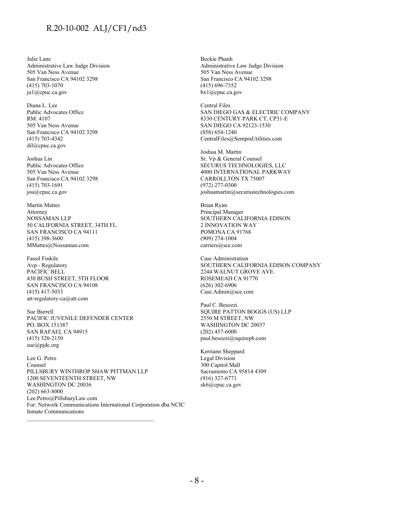Julie Lane Administrative Law Judge Division 505 Van Ness Avenue San Francisco CA 94102 3298 (415) 703-1070 ju1@cpuc.ca.gov

Diana L. Lee Public Advocates Office RM. 4107 505 Van Ness Avenue San Francisco CA 94102 3298 (415) 703-4342 dil@cpuc.ca.gov

Joshua Lin Public Advocates Office 505 Van Ness Avenue San Francisco CA 94102 3298 (415) 703-1691 jou@cpuc.ca.gov

Martin Mattes Attorney NOSSAMAN LLP 50 CALIFORNIA STREET, 34TH FL. SAN FRANCISCO CA 94111 (415) 398-3600 MMattes@Nossaman.com

Fassil Finkile Avp - Regulatory PACIFIC BELL 430 BUSH STREET, 5TH FLOOR SAN FRANCISCO CA 94108 (415) 417-5033 att-regulatory-ca@att.com

Sue Burrell PACIFIC JUVENILE DEFENDER CENTER PO. BOX 151387 SAN RAFAEL CA 94915 (415) 320-2150 sue@pjdc.org

Lee G. Petro Counsel PILLSBURY WINTHROP SHAW PITTMAN LLP 1200 SEVENTEENTH STREET, NW WASHINGTON DC 20036 (202) 663-8000 Lee.Petro@PillsburyLaw.com For: Network Communications International Corporation dba NCIC Inmate Communications

Beckie Phanh Administrative Law Judge Division 505 Van Ness Avenue San Francisco CA 94102 3298 (415) 696-7352 bx1@cpuc.ca.gov

Central Files SAN DIEGO GAS & ELECTRIC COMPANY 8330 CENTURY PARK CT, CP31-E SAN DIEGO CA 92123-1530 (858) 654-1240 CentralFiles@SempraUtilities.com

Joshua M. Martin Sr. Vp & General Counsel SECURUS TECHNOLOGIES, LLC 4000 INTERNATIONAL PARKWAY CARROLLTON TX 75007 (972) 277-0300 joshuamartin@securustechnologies.com

Brian Ryan Principal Manager SOUTHERN CALIFORNIA EDISON 2 INNOVATION WAY POMONA CA 91768 (909) 274-1004 carriers@sce.com

Case Administration SOUTHERN CALIFORNIA EDISON COMPANY 2244 WALNUT GROVE AVE. ROSEMEAD CA 91770 (626) 302-6906 Case.Admin@sce.com

Paul C. Besozzi SQUIRE PATTON BOGGS (US) LLP 2550 M STREET, NW WASHINGTON DC 20037 (202) 457-6000 paul.besozzi@squirepb.com

Kerriann Sheppard Legal Division 300 Capitol Mall Sacramento CA 95814 4309 (916) 327-6771 sk6@cpuc.ca.gov